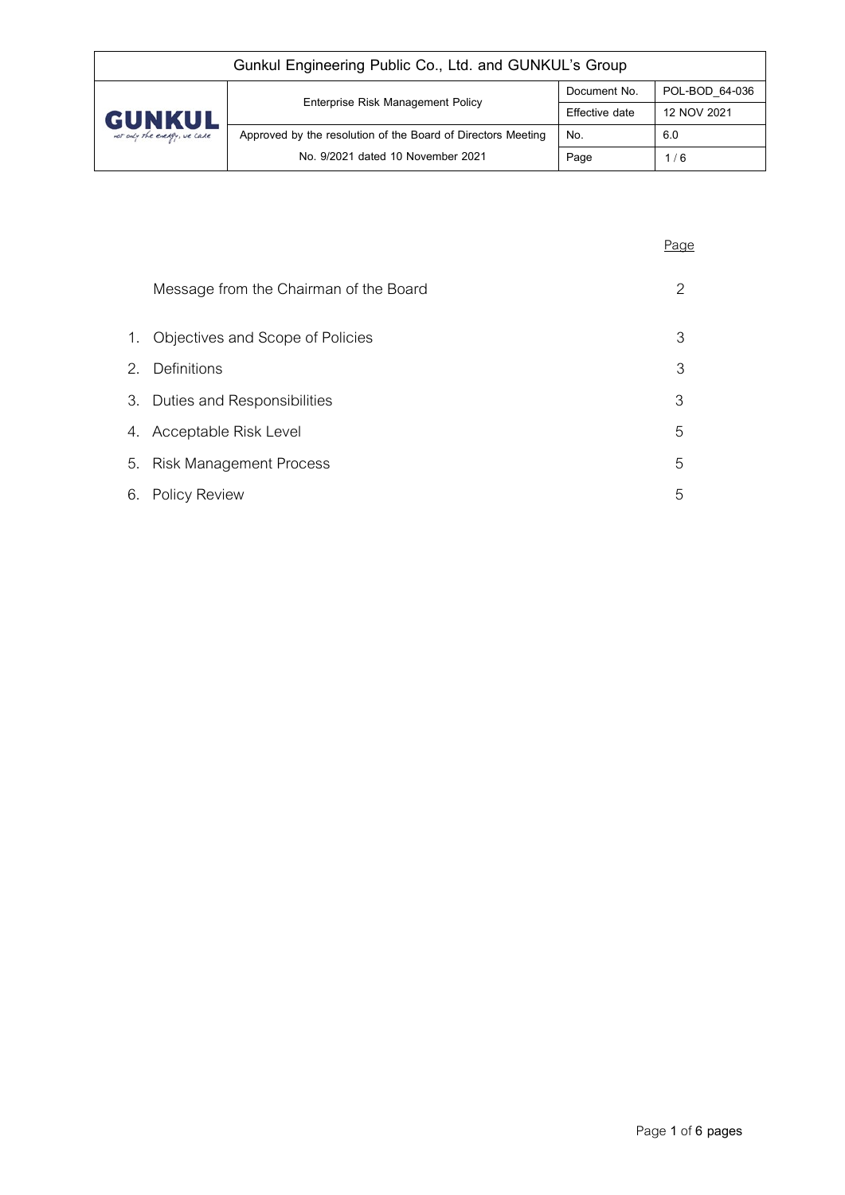| Gunkul Engineering Public Co., Ltd. and GUNKUL's Group |                                                              |                |                |  |
|--------------------------------------------------------|--------------------------------------------------------------|----------------|----------------|--|
| <b>GUNKUL</b><br>not only the energy, we care          | Enterprise Risk Management Policy                            | Document No.   | POL-BOD 64-036 |  |
|                                                        |                                                              | Effective date | 12 NOV 2021    |  |
|                                                        | Approved by the resolution of the Board of Directors Meeting | No.            | 6.0            |  |
|                                                        | No. 9/2021 dated 10 November 2021                            | Page           | 1/6            |  |

|    |                                        | Page |
|----|----------------------------------------|------|
|    | Message from the Chairman of the Board | 2    |
|    | 1. Objectives and Scope of Policies    | 3    |
| 2. | Definitions                            | 3    |
|    | 3. Duties and Responsibilities         | 3    |
|    | 4. Acceptable Risk Level               | 5    |
|    | 5. Risk Management Process             | 5    |
|    | 6. Policy Review                       | 5    |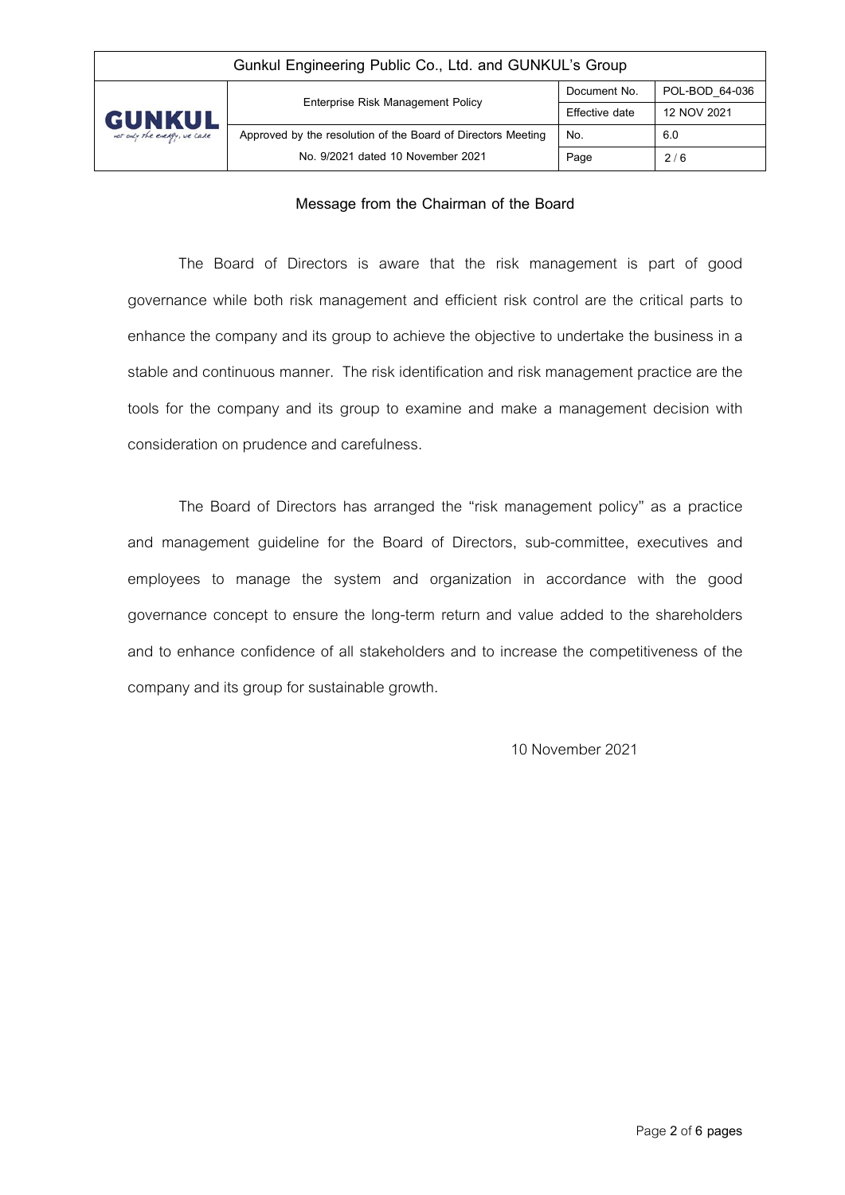| Gunkul Engineering Public Co., Ltd. and GUNKUL's Group |                                                              |                |                |  |
|--------------------------------------------------------|--------------------------------------------------------------|----------------|----------------|--|
| <b>GUNKUL</b><br>not only the energy, we care          | Enterprise Risk Management Policy                            | Document No.   | POL-BOD 64-036 |  |
|                                                        |                                                              | Effective date | 12 NOV 2021    |  |
|                                                        | Approved by the resolution of the Board of Directors Meeting | No.            | 6.0            |  |
|                                                        | No. 9/2021 dated 10 November 2021                            | Page           | 2/6            |  |

# **Message from the Chairman of the Board**

The Board of Directors is aware that the risk management is part of good governance while both risk management and efficient risk control are the critical parts to enhance the company and its group to achieve the objective to undertake the business in a stable and continuous manner. The risk identification and risk management practice are the tools for the company and its group to examine and make a management decision with consideration on prudence and carefulness.

The Board of Directors has arranged the "risk management policy" as a practice and management guideline for the Board of Directors, sub-committee, executives and employees to manage the system and organization in accordance with the good governance concept to ensure the long-term return and value added to the shareholders and to enhance confidence of all stakeholders and to increase the competitiveness of the company and its group for sustainable growth.

10 November 2021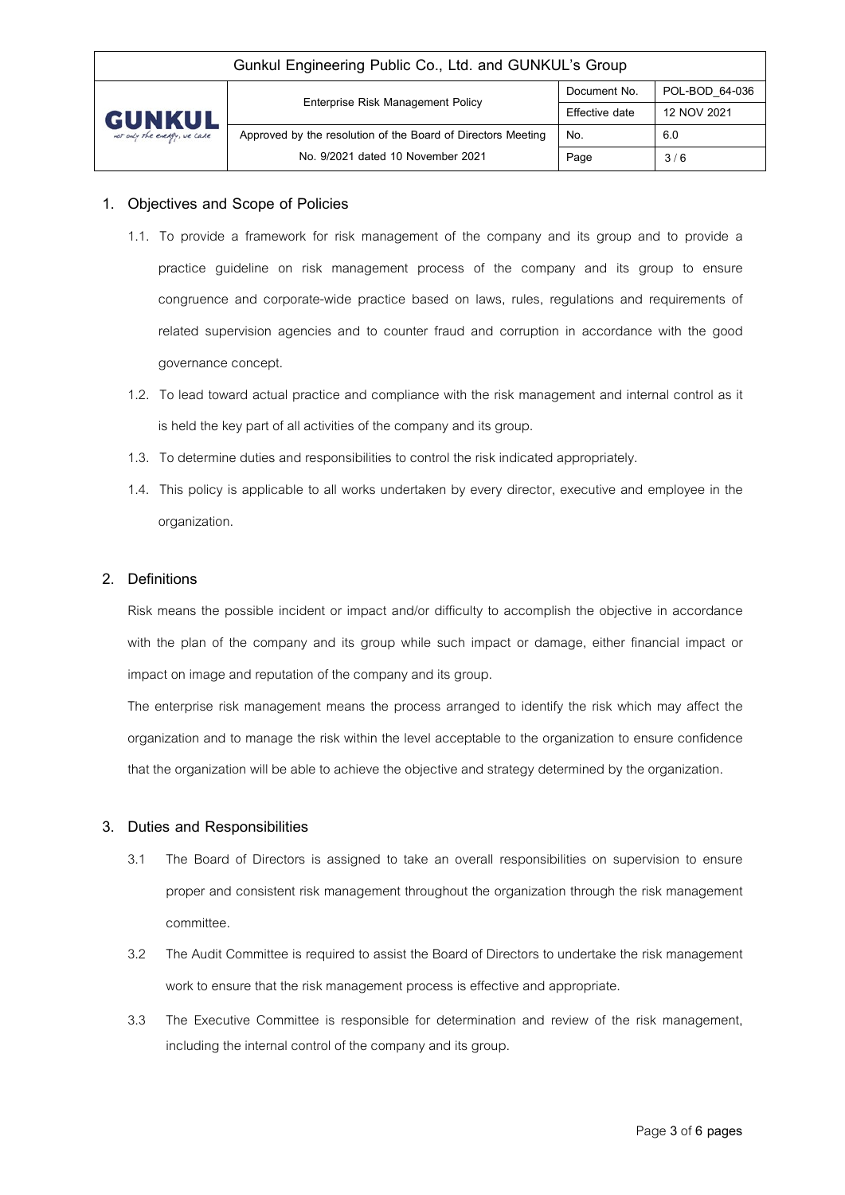| Gunkul Engineering Public Co., Ltd. and GUNKUL's Group |                                                              |                |                |  |
|--------------------------------------------------------|--------------------------------------------------------------|----------------|----------------|--|
| <b>GUNKUL</b><br>not only the energy, we care          | Enterprise Risk Management Policy                            | Document No.   | POL-BOD 64-036 |  |
|                                                        |                                                              | Effective date | 12 NOV 2021    |  |
|                                                        | Approved by the resolution of the Board of Directors Meeting | No.            | 6.0            |  |
|                                                        | No. 9/2021 dated 10 November 2021                            | Page           | 3/6            |  |

## **1. Objectives and Scope of Policies**

- 1.1. To provide a framework for risk management of the company and its group and to provide a practice guideline on risk management process of the company and its group to ensure congruence and corporate-wide practice based on laws, rules, regulations and requirements of related supervision agencies and to counter fraud and corruption in accordance with the good governance concept.
- 1.2. To lead toward actual practice and compliance with the risk management and internal control as it is held the key part of all activities of the company and its group.
- 1.3. To determine duties and responsibilities to control the risk indicated appropriately.
- 1.4. This policy is applicable to all works undertaken by every director, executive and employee in the organization.

## **2. Definitions**

Risk means the possible incident or impact and/or difficulty to accomplish the objective in accordance with the plan of the company and its group while such impact or damage, either financial impact or impact on image and reputation of the company and its group.

The enterprise risk management means the process arranged to identify the risk which may affect the organization and to manage the risk within the level acceptable to the organization to ensure confidence that the organization will be able to achieve the objective and strategy determined by the organization.

## **3. Duties and Responsibilities**

- 3.1 The Board of Directors is assigned to take an overall responsibilities on supervision to ensure proper and consistent risk management throughout the organization through the risk management committee.
- 3.2 The Audit Committee is required to assist the Board of Directors to undertake the risk management work to ensure that the risk management process is effective and appropriate.
- 3.3 The Executive Committee is responsible for determination and review of the risk management, including the internal control of the company and its group.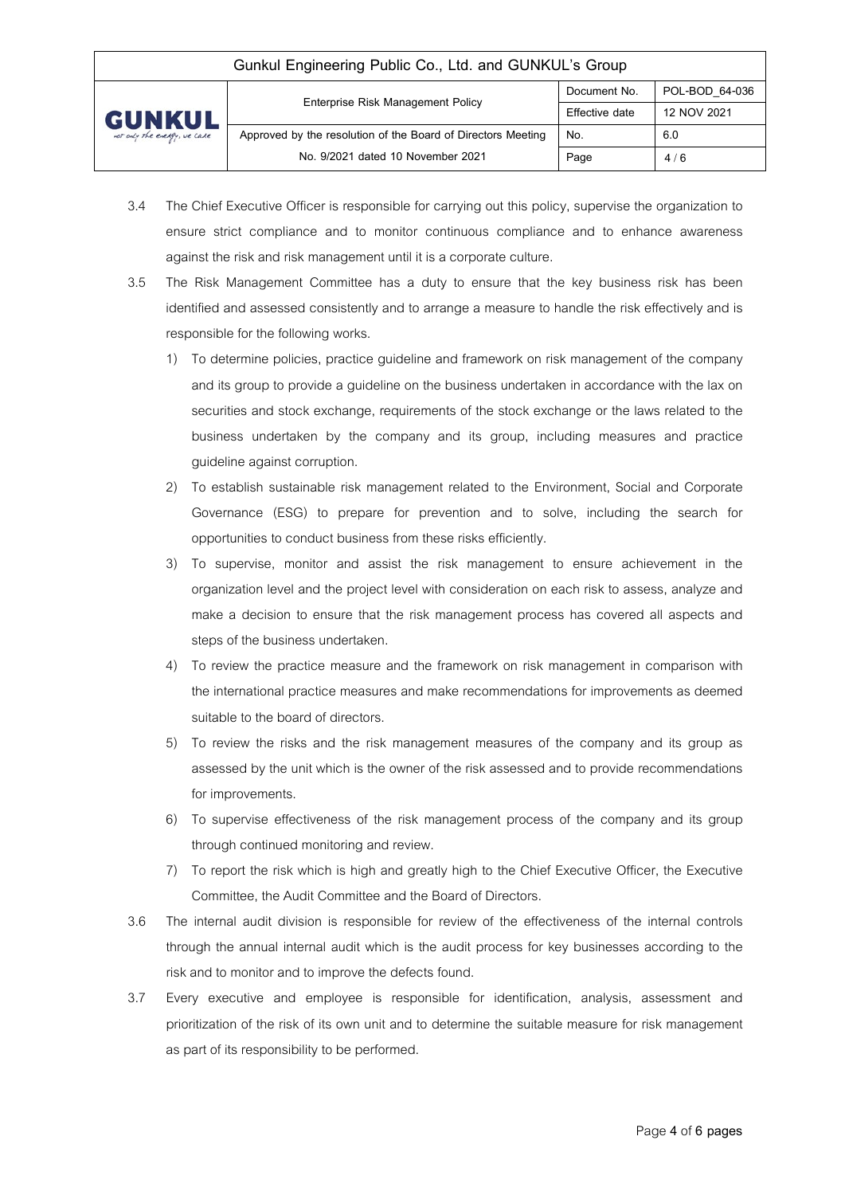| Gunkul Engineering Public Co., Ltd. and GUNKUL's Group |                                                              |                |                |  |
|--------------------------------------------------------|--------------------------------------------------------------|----------------|----------------|--|
| <b>GUNKUL</b><br>not only the energy, we care          | Enterprise Risk Management Policy                            | Document No.   | POL-BOD 64-036 |  |
|                                                        |                                                              | Effective date | 12 NOV 2021    |  |
|                                                        | Approved by the resolution of the Board of Directors Meeting | No.            | 6.0            |  |
|                                                        | No. 9/2021 dated 10 November 2021                            | Page           | 4/6            |  |

- 3.4 The Chief Executive Officer is responsible for carrying out this policy, supervise the organization to ensure strict compliance and to monitor continuous compliance and to enhance awareness against the risk and risk management until it is a corporate culture.
- 3.5 The Risk Management Committee has a duty to ensure that the key business risk has been identified and assessed consistently and to arrange a measure to handle the risk effectively and is responsible for the following works.
	- 1) To determine policies, practice guideline and framework on risk management of the company and its group to provide a guideline on the business undertaken in accordance with the lax on securities and stock exchange, requirements of the stock exchange or the laws related to the business undertaken by the company and its group, including measures and practice guideline against corruption.
	- 2) To establish sustainable risk management related to the Environment, Social and Corporate Governance (ESG) to prepare for prevention and to solve, including the search for opportunities to conduct business from these risks efficiently.
	- 3) To supervise, monitor and assist the risk management to ensure achievement in the organization level and the project level with consideration on each risk to assess, analyze and make a decision to ensure that the risk management process has covered all aspects and steps of the business undertaken.
	- 4) To review the practice measure and the framework on risk management in comparison with the international practice measures and make recommendations for improvements as deemed suitable to the board of directors.
	- 5) To review the risks and the risk management measures of the company and its group as assessed by the unit which is the owner of the risk assessed and to provide recommendations for improvements.
	- 6) To supervise effectiveness of the risk management process of the company and its group through continued monitoring and review.
	- 7) To report the risk which is high and greatly high to the Chief Executive Officer, the Executive Committee, the Audit Committee and the Board of Directors.
- 3.6 The internal audit division is responsible for review of the effectiveness of the internal controls through the annual internal audit which is the audit process for key businesses according to the risk and to monitor and to improve the defects found.
- 3.7 Every executive and employee is responsible for identification, analysis, assessment and prioritization of the risk of its own unit and to determine the suitable measure for risk management as part of its responsibility to be performed.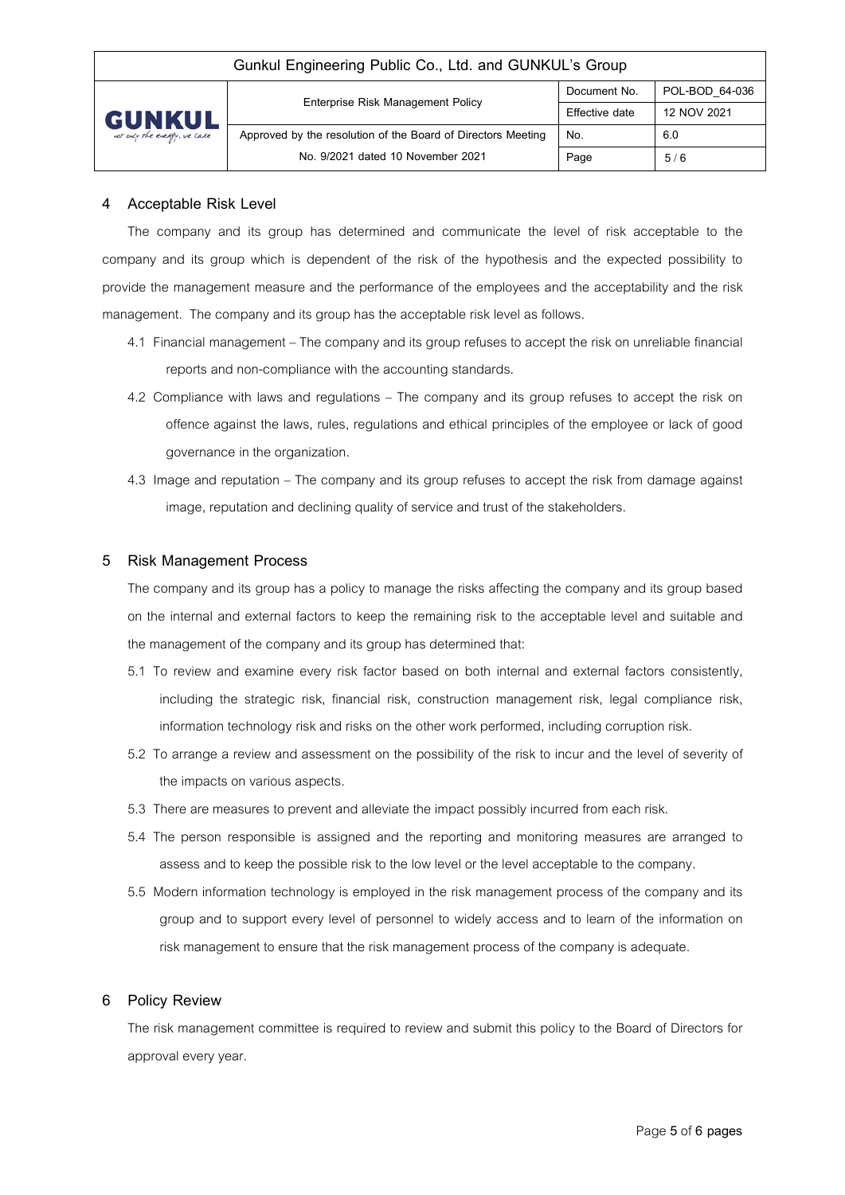| Gunkul Engineering Public Co., Ltd. and GUNKUL's Group |                                                              |                |                |  |
|--------------------------------------------------------|--------------------------------------------------------------|----------------|----------------|--|
| <b>GUNKUL</b><br>not only the energy, we care          | Enterprise Risk Management Policy                            | Document No.   | POL-BOD 64-036 |  |
|                                                        |                                                              | Effective date | 12 NOV 2021    |  |
|                                                        | Approved by the resolution of the Board of Directors Meeting | No.            | 6.0            |  |
|                                                        | No. 9/2021 dated 10 November 2021                            | Page           | 5/6            |  |

### **4 Acceptable Risk Level**

The company and its group has determined and communicate the level of risk acceptable to the company and its group which is dependent of the risk of the hypothesis and the expected possibility to provide the management measure and the performance of the employees and the acceptability and the risk management. The company and its group has the acceptable risk level as follows.

- 4.1 Financial management The company and its group refuses to accept the risk on unreliable financial reports and non-compliance with the accounting standards.
- 4.2 Compliance with laws and regulations The company and its group refuses to accept the risk on offence against the laws, rules, regulations and ethical principles of the employee or lack of good governance in the organization.
- 4.3 Image and reputation The company and its group refuses to accept the risk from damage against image, reputation and declining quality of service and trust of the stakeholders.

#### **5 Risk Management Process**

The company and its group has a policy to manage the risks affecting the company and its group based on the internal and external factors to keep the remaining risk to the acceptable level and suitable and the management of the company and its group has determined that:

- 5.1 To review and examine every risk factor based on both internal and external factors consistently, including the strategic risk, financial risk, construction management risk, legal compliance risk, information technology risk and risks on the other work performed, including corruption risk.
- 5.2 To arrange a review and assessment on the possibility of the risk to incur and the level of severity of the impacts on various aspects.
- 5.3 There are measures to prevent and alleviate the impact possibly incurred from each risk.
- 5.4 The person responsible is assigned and the reporting and monitoring measures are arranged to assess and to keep the possible risk to the low level or the level acceptable to the company.
- 5.5 Modern information technology is employed in the risk management process of the company and its group and to support every level of personnel to widely access and to learn of the information on risk management to ensure that the risk management process of the company is adequate.

### **6 Policy Review**

The risk management committee is required to review and submit this policy to the Board of Directors for approval every year.